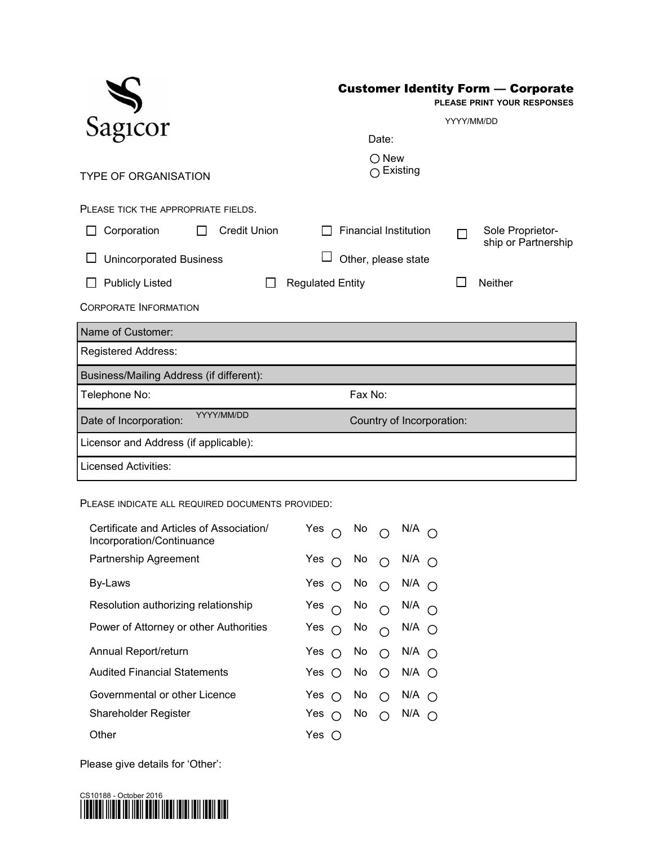|                                          | <b>Customer Identity Form - Corporate</b> |            | PLEASE PRINT YOUR RESPONSES             |
|------------------------------------------|-------------------------------------------|------------|-----------------------------------------|
| Sagicor                                  |                                           | YYYY/MM/DD |                                         |
|                                          | Date:                                     |            |                                         |
| <b>TYPE OF ORGANISATION</b>              | $\bigcirc$ New<br>$\bigcap$ Existing      |            |                                         |
| PLEASE TICK THE APPROPRIATE FIELDS.      |                                           |            |                                         |
| <b>Credit Union</b><br>Corporation       | <b>Financial Institution</b>              |            | Sole Proprietor-<br>ship or Partnership |
| <b>Unincorporated Business</b>           | Other, please state                       |            |                                         |
| <b>Publicly Listed</b>                   | <b>Regulated Entity</b>                   |            | <b>Neither</b>                          |
| <b>CORPORATE INFORMATION</b>             |                                           |            |                                         |
| Name of Customer:                        |                                           |            |                                         |
| Registered Address:                      |                                           |            |                                         |
| Business/Mailing Address (if different): |                                           |            |                                         |
| Telephone No:                            | Fax No:                                   |            |                                         |
| YYYY/MM/DD<br>Date of Incorporation:     | Country of Incorporation:                 |            |                                         |
| Licensor and Address (if applicable):    |                                           |            |                                         |
| <b>Licensed Activities:</b>              |                                           |            |                                         |

PLEASE INDICATE ALL REQUIRED DOCUMENTS PROVIDED:

| Certificate and Articles of Association/<br>Incorporation/Continuance | Yes $\bigcap$ No $\bigcap$ N/A $\bigcap$    |  |  |
|-----------------------------------------------------------------------|---------------------------------------------|--|--|
| Partnership Agreement                                                 | Yes $\cap$ No $\cap$ N/A $\cap$             |  |  |
| By-Laws                                                               | Yes $\bigcap$ No $\bigcap$ N/A $\bigcap$    |  |  |
| Resolution authorizing relationship                                   | Yes $\bigcirc$ No $\bigcirc$ N/A $\bigcirc$ |  |  |
| Power of Attorney or other Authorities                                | Yes $\bigcirc$ No $\bigcirc$ N/A $\bigcirc$ |  |  |
| Annual Report/return                                                  | Yes $\bigcap$ No $\bigcap$ N/A $\bigcap$    |  |  |
| <b>Audited Financial Statements</b>                                   | Yes $\bigcirc$ No $\bigcirc$ N/A $\bigcirc$ |  |  |
| Governmental or other Licence                                         | Yes $\bigcap$ No $\bigcap$ N/A $\bigcap$    |  |  |
| Shareholder Register                                                  | Yes $\bigcap$ No $\bigcap$ N/A $\bigcap$    |  |  |
| Other                                                                 | Yes $\bigcap$                               |  |  |

Please give details for 'Other':

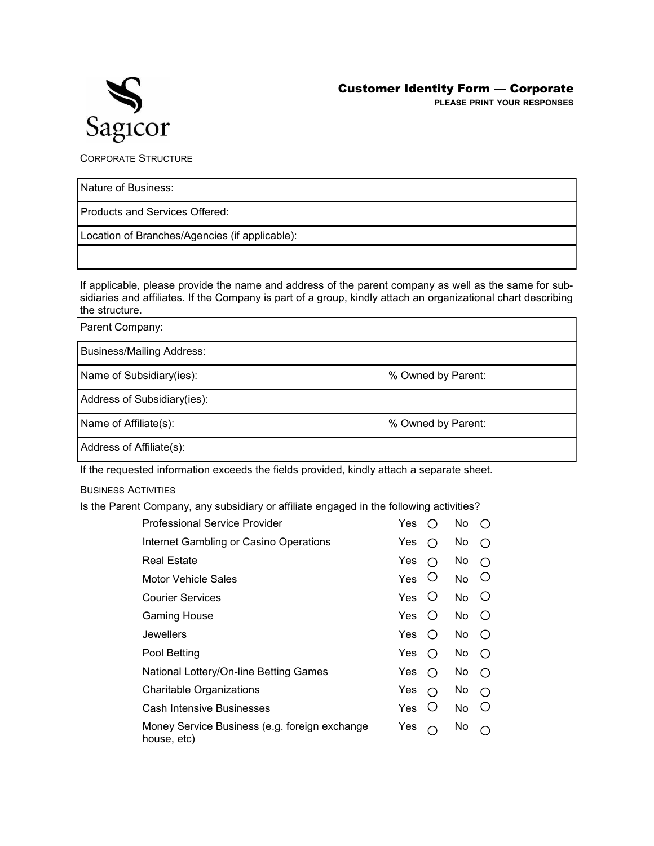

**PLEASE PRINT YOUR RESPONSES**

CORPORATE STRUCTURE

Nature of Business:

Products and Services Offered:

Location of Branches/Agencies (if applicable):

If applicable, please provide the name and address of the parent company as well as the same for subsidiaries and affiliates. If the Company is part of a group, kindly attach an organizational chart describing the structure.

Parent Company:

Business/Mailing Address:

Name of Subsidiary(ies):  $\%$  Owned by Parent:

Address of Subsidiary(ies):

Name of Affiliate(s):  $\%$  Owned by Parent:

Address of Affiliate(s):

If the requested information exceeds the fields provided, kindly attach a separate sheet.

BUSINESS ACTIVITIES

Is the Parent Company, any subsidiary or affiliate engaged in the following activities?

| Professional Service Provider                                | <b>Yes</b> | $\left( \right)$ | No        | ∩                |
|--------------------------------------------------------------|------------|------------------|-----------|------------------|
| Internet Gambling or Casino Operations                       | Yes        | ∩                | No.       | ∩                |
| Real Estate                                                  | Yes        | ∩                | No        | ∩                |
| Motor Vehicle Sales                                          | <b>Yes</b> | Ő                | No.       | Ő                |
| <b>Courier Services</b>                                      | Yes        | Ő                | No        | $\cup$           |
| Gaming House                                                 | Yes.       | $\left( \right)$ | No.       | $\left( \right)$ |
| Jewellers                                                    | Yes.       | $\bigcirc$       | No.       | $\bigcirc$       |
| Pool Betting                                                 | Yes        | ∩                | No        | ∩                |
| National Lottery/On-line Betting Games                       | Yes        | ∩                | No        | ◯                |
| <b>Charitable Organizations</b>                              | Yes        | ∩                | No.       | ∩                |
| <b>Cash Intensive Businesses</b>                             | Yes        | Ő                | <b>No</b> | Ő                |
| Money Service Business (e.g. foreign exchange<br>house, etc) | Yes        | ∩                | No        |                  |
|                                                              |            |                  |           |                  |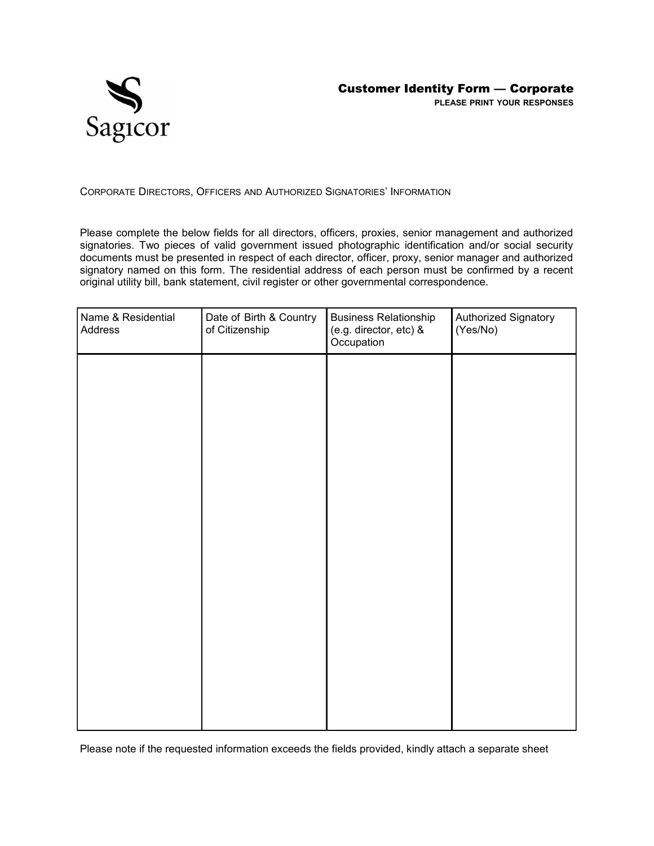

CORPORATE DIRECTORS, OFFICERS AND AUTHORIZED SIGNATORIES' INFORMATION

Please complete the below fields for all directors, officers, proxies, senior management and authorized signatories. Two pieces of valid government issued photographic identification and/or social security documents must be presented in respect of each director, officer, proxy, senior manager and authorized signatory named on this form. The residential address of each person must be confirmed by a recent original utility bill, bank statement, civil register or other governmental correspondence.

| Name & Residential<br>Address | Date of Birth & Country<br>of Citizenship | <b>Business Relationship</b><br>(e.g. director, etc) &<br>Occupation | Authorized Signatory<br>(Yes/No) |
|-------------------------------|-------------------------------------------|----------------------------------------------------------------------|----------------------------------|
|                               |                                           |                                                                      |                                  |
|                               |                                           |                                                                      |                                  |
|                               |                                           |                                                                      |                                  |
|                               |                                           |                                                                      |                                  |
|                               |                                           |                                                                      |                                  |
|                               |                                           |                                                                      |                                  |
|                               |                                           |                                                                      |                                  |
|                               |                                           |                                                                      |                                  |
|                               |                                           |                                                                      |                                  |

Please note if the requested information exceeds the fields provided, kindly attach a separate sheet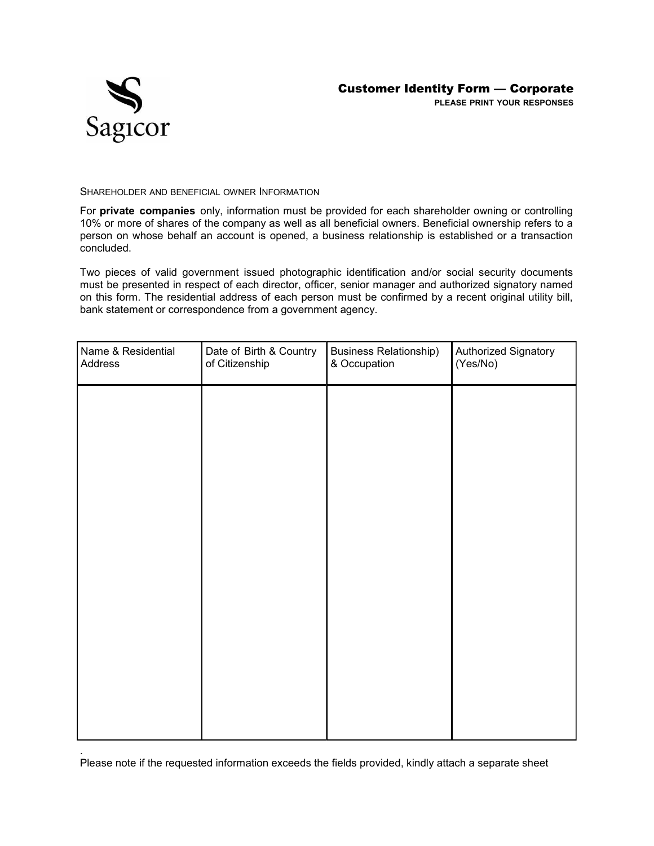

SHAREHOLDER AND BENEFICIAL OWNER INFORMATION

For **private companies** only, information must be provided for each shareholder owning or controlling 10% or more of shares of the company as well as all beneficial owners. Beneficial ownership refers to a person on whose behalf an account is opened, a business relationship is established or a transaction concluded.

Two pieces of valid government issued photographic identification and/or social security documents must be presented in respect of each director, officer, senior manager and authorized signatory named on this form. The residential address of each person must be confirmed by a recent original utility bill, bank statement or correspondence from a government agency.

| Name & Residential<br>Address | Date of Birth & Country<br>of Citizenship | <b>Business Relationship)</b><br>& Occupation | Authorized Signatory<br>(Yes/No) |
|-------------------------------|-------------------------------------------|-----------------------------------------------|----------------------------------|
|                               |                                           |                                               |                                  |
|                               |                                           |                                               |                                  |
|                               |                                           |                                               |                                  |
|                               |                                           |                                               |                                  |
|                               |                                           |                                               |                                  |
|                               |                                           |                                               |                                  |
|                               |                                           |                                               |                                  |
|                               |                                           |                                               |                                  |

. Please note if the requested information exceeds the fields provided, kindly attach a separate sheet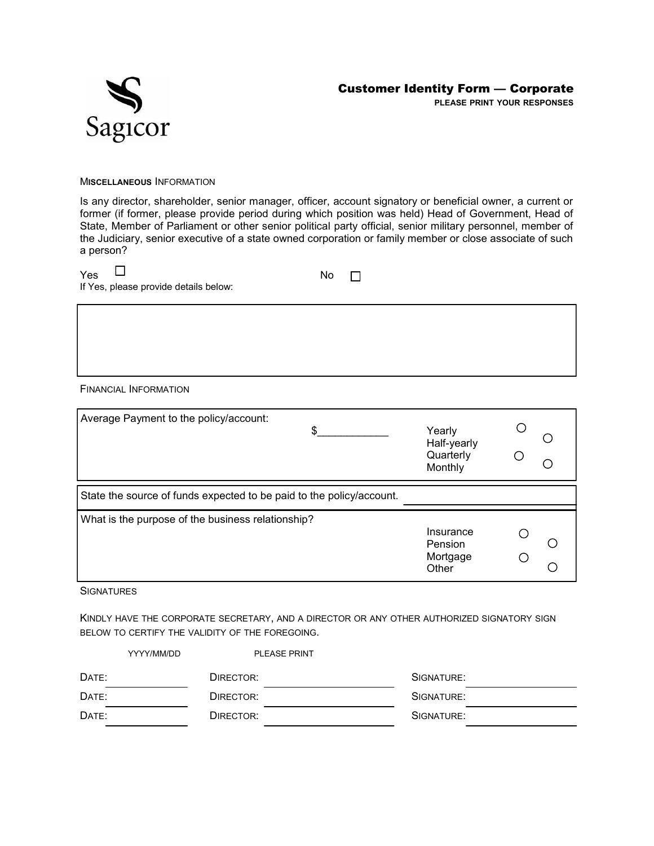



M**ISCELLANEOUS** INFORMATION

Is any director, shareholder, senior manager, officer, account signatory or beneficial owner, a current or former (if former, please provide period during which position was held) Head of Government, Head of State, Member of Parliament or other senior political party official, senior military personnel, member of the Judiciary, senior executive of a state owned corporation or family member or close associate of such a person?

| Yes |                                       | No |
|-----|---------------------------------------|----|
|     | If Yes, please provide details below: |    |

 $\Box$ 

FINANCIAL INFORMATION

| Average Payment to the policy/account:<br>\$.                        | Yearly<br>Half-yearly<br>Quarterly<br>Monthly |  |
|----------------------------------------------------------------------|-----------------------------------------------|--|
| State the source of funds expected to be paid to the policy/account. |                                               |  |
| What is the purpose of the business relationship?                    | Insurance<br>Pension<br>Mortgage<br>Other     |  |

**SIGNATURES** 

KINDLY HAVE THE CORPORATE SECRETARY, AND A DIRECTOR OR ANY OTHER AUTHORIZED SIGNATORY SIGN BELOW TO CERTIFY THE VALIDITY OF THE FOREGOING.

|       | <b>PLEASE PRINT</b><br>YYYY/MM/DD |            |
|-------|-----------------------------------|------------|
| DATE: | DIRECTOR:                         | SIGNATURE: |
| DATE: | DIRECTOR:                         | SIGNATURE: |
| DATE: | DIRECTOR:                         | SIGNATURE: |